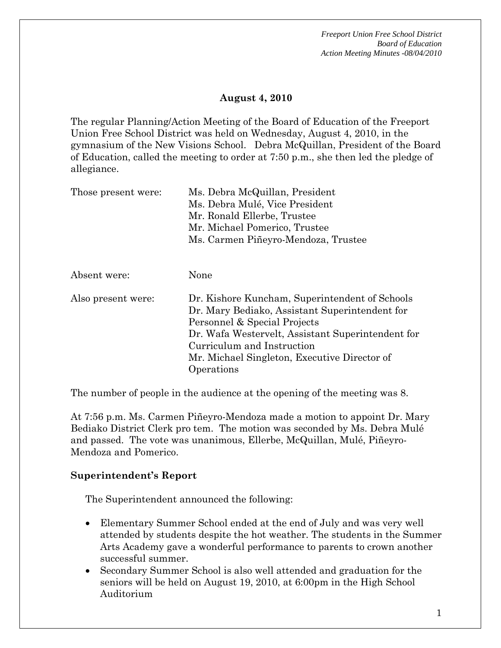#### **August 4, 2010**

The regular Planning/Action Meeting of the Board of Education of the Freeport Union Free School District was held on Wednesday, August 4, 2010, in the gymnasium of the New Visions School. Debra McQuillan, President of the Board of Education, called the meeting to order at 7:50 p.m., she then led the pledge of allegiance.

| Those present were: | Ms. Debra McQuillan, President<br>Ms. Debra Mulé, Vice President<br>Mr. Ronald Ellerbe, Trustee<br>Mr. Michael Pomerico, Trustee<br>Ms. Carmen Piñeyro-Mendoza, Trustee                                                                                                           |
|---------------------|-----------------------------------------------------------------------------------------------------------------------------------------------------------------------------------------------------------------------------------------------------------------------------------|
| Absent were:        | None                                                                                                                                                                                                                                                                              |
| Also present were:  | Dr. Kishore Kuncham, Superintendent of Schools<br>Dr. Mary Bediako, Assistant Superintendent for<br>Personnel & Special Projects<br>Dr. Wafa Westervelt, Assistant Superintendent for<br>Curriculum and Instruction<br>Mr. Michael Singleton, Executive Director of<br>Operations |

The number of people in the audience at the opening of the meeting was 8.

At 7:56 p.m. Ms. Carmen Piñeyro-Mendoza made a motion to appoint Dr. Mary Bediako District Clerk pro tem. The motion was seconded by Ms. Debra Mulé and passed. The vote was unanimous, Ellerbe, McQuillan, Mulé, Piñeyro-Mendoza and Pomerico.

## **Superintendent's Report**

The Superintendent announced the following:

- Elementary Summer School ended at the end of July and was very well attended by students despite the hot weather. The students in the Summer Arts Academy gave a wonderful performance to parents to crown another successful summer.
- Secondary Summer School is also well attended and graduation for the seniors will be held on August 19, 2010, at 6:00pm in the High School Auditorium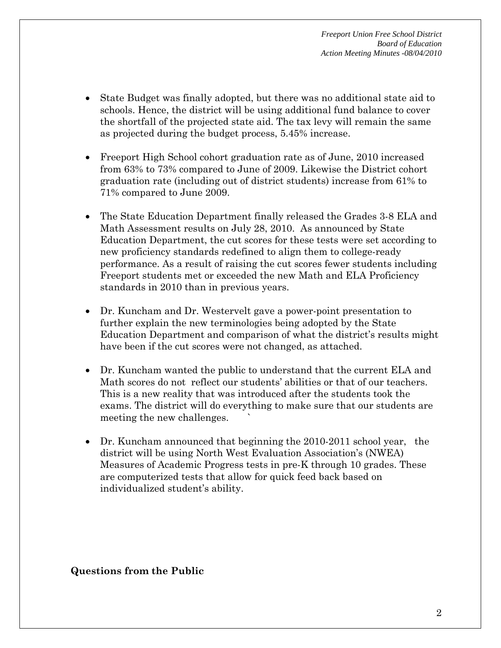- State Budget was finally adopted, but there was no additional state aid to schools. Hence, the district will be using additional fund balance to cover the shortfall of the projected state aid. The tax levy will remain the same as projected during the budget process, 5.45% increase.
- Freeport High School cohort graduation rate as of June, 2010 increased from 63% to 73% compared to June of 2009. Likewise the District cohort graduation rate (including out of district students) increase from 61% to 71% compared to June 2009.
- The State Education Department finally released the Grades 3-8 ELA and Math Assessment results on July 28, 2010. As announced by State Education Department, the cut scores for these tests were set according to new proficiency standards redefined to align them to college-ready performance. As a result of raising the cut scores fewer students including Freeport students met or exceeded the new Math and ELA Proficiency standards in 2010 than in previous years.
- Dr. Kuncham and Dr. Westervelt gave a power-point presentation to further explain the new terminologies being adopted by the State Education Department and comparison of what the district's results might have been if the cut scores were not changed, as attached.
- Dr. Kuncham wanted the public to understand that the current ELA and Math scores do not reflect our students' abilities or that of our teachers. This is a new reality that was introduced after the students took the exams. The district will do everything to make sure that our students are meeting the new challenges.
- Dr. Kuncham announced that beginning the 2010-2011 school year, the district will be using North West Evaluation Association's (NWEA) Measures of Academic Progress tests in pre-K through 10 grades. These are computerized tests that allow for quick feed back based on individualized student's ability.

**Questions from the Public**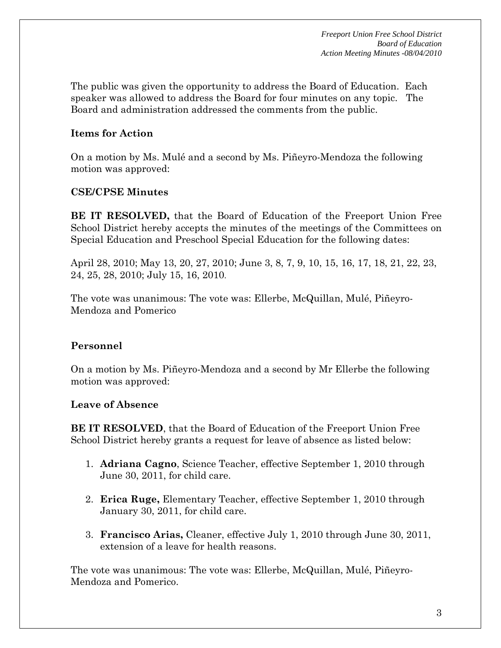The public was given the opportunity to address the Board of Education. Each speaker was allowed to address the Board for four minutes on any topic. The Board and administration addressed the comments from the public.

## **Items for Action**

On a motion by Ms. Mulé and a second by Ms. Piñeyro-Mendoza the following motion was approved:

## **CSE/CPSE Minutes**

**BE IT RESOLVED,** that the Board of Education of the Freeport Union Free School District hereby accepts the minutes of the meetings of the Committees on Special Education and Preschool Special Education for the following dates:

April 28, 2010; May 13, 20, 27, 2010; June 3, 8, 7, 9, 10, 15, 16, 17, 18, 21, 22, 23, 24, 25, 28, 2010; July 15, 16, 2010.

The vote was unanimous: The vote was: Ellerbe, McQuillan, Mulé, Piñeyro-Mendoza and Pomerico

# **Personnel**

On a motion by Ms. Piñeyro-Mendoza and a second by Mr Ellerbe the following motion was approved:

## **Leave of Absence**

**BE IT RESOLVED**, that the Board of Education of the Freeport Union Free School District hereby grants a request for leave of absence as listed below:

- 1. **Adriana Cagno**, Science Teacher, effective September 1, 2010 through June 30, 2011, for child care.
- 2. **Erica Ruge,** Elementary Teacher, effective September 1, 2010 through January 30, 2011, for child care.
- 3. **Francisco Arias,** Cleaner, effective July 1, 2010 through June 30, 2011, extension of a leave for health reasons.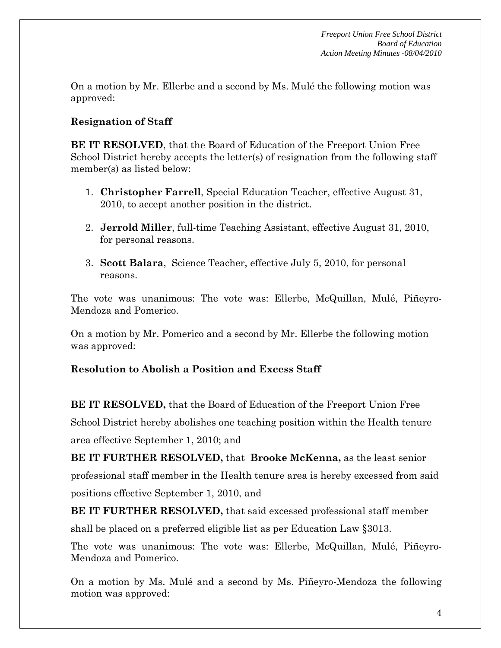On a motion by Mr. Ellerbe and a second by Ms. Mulé the following motion was approved:

## **Resignation of Staff**

**BE IT RESOLVED**, that the Board of Education of the Freeport Union Free School District hereby accepts the letter(s) of resignation from the following staff member(s) as listed below:

- 1. **Christopher Farrell**, Special Education Teacher, effective August 31, 2010, to accept another position in the district.
- 2. **Jerrold Miller**, full-time Teaching Assistant, effective August 31, 2010, for personal reasons.
- 3. **Scott Balara**, Science Teacher, effective July 5, 2010, for personal reasons.

The vote was unanimous: The vote was: Ellerbe, McQuillan, Mulé, Piñeyro-Mendoza and Pomerico.

On a motion by Mr. Pomerico and a second by Mr. Ellerbe the following motion was approved:

## **Resolution to Abolish a Position and Excess Staff**

**BE IT RESOLVED,** that the Board of Education of the Freeport Union Free School District hereby abolishes one teaching position within the Health tenure area effective September 1, 2010; and

**BE IT FURTHER RESOLVED,** that **Brooke McKenna,** as the least senior professional staff member in the Health tenure area is hereby excessed from said positions effective September 1, 2010, and

**BE IT FURTHER RESOLVED,** that said excessed professional staff member shall be placed on a preferred eligible list as per Education Law §3013.

The vote was unanimous: The vote was: Ellerbe, McQuillan, Mulé, Piñeyro-Mendoza and Pomerico.

On a motion by Ms. Mulé and a second by Ms. Piñeyro-Mendoza the following motion was approved: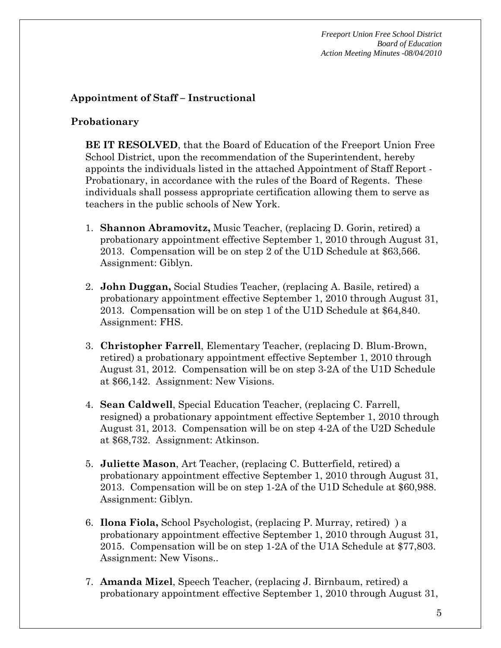## **Appointment of Staff – Instructional**

#### **Probationary**

**BE IT RESOLVED**, that the Board of Education of the Freeport Union Free School District, upon the recommendation of the Superintendent, hereby appoints the individuals listed in the attached Appointment of Staff Report - Probationary, in accordance with the rules of the Board of Regents. These individuals shall possess appropriate certification allowing them to serve as teachers in the public schools of New York.

- 1. **Shannon Abramovitz,** Music Teacher, (replacing D. Gorin, retired) a probationary appointment effective September 1, 2010 through August 31, 2013. Compensation will be on step 2 of the U1D Schedule at \$63,566. Assignment: Giblyn.
- 2. **John Duggan,** Social Studies Teacher, (replacing A. Basile, retired) a probationary appointment effective September 1, 2010 through August 31, 2013. Compensation will be on step 1 of the U1D Schedule at \$64,840. Assignment: FHS.
- 3. **Christopher Farrell**, Elementary Teacher, (replacing D. Blum-Brown, retired) a probationary appointment effective September 1, 2010 through August 31, 2012. Compensation will be on step 3-2A of the U1D Schedule at \$66,142. Assignment: New Visions.
- 4. **Sean Caldwell**, Special Education Teacher, (replacing C. Farrell, resigned) a probationary appointment effective September 1, 2010 through August 31, 2013. Compensation will be on step 4-2A of the U2D Schedule at \$68,732. Assignment: Atkinson.
- 5. **Juliette Mason**, Art Teacher, (replacing C. Butterfield, retired) a probationary appointment effective September 1, 2010 through August 31, 2013. Compensation will be on step 1-2A of the U1D Schedule at \$60,988. Assignment: Giblyn.
- 6. **Ilona Fiola,** School Psychologist, (replacing P. Murray, retired) ) a probationary appointment effective September 1, 2010 through August 31, 2015. Compensation will be on step 1-2A of the U1A Schedule at \$77,803. Assignment: New Visons..
- 7. **Amanda Mizel**, Speech Teacher, (replacing J. Birnbaum, retired) a probationary appointment effective September 1, 2010 through August 31,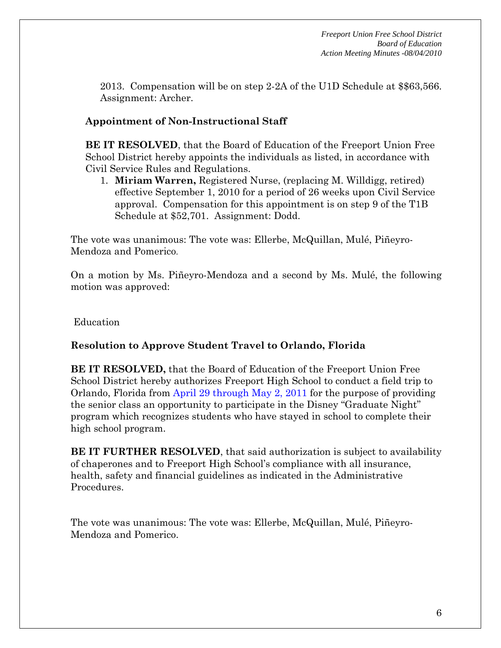2013. Compensation will be on step 2-2A of the U1D Schedule at \$\$63,566. Assignment: Archer.

## **Appointment of Non-Instructional Staff**

**BE IT RESOLVED**, that the Board of Education of the Freeport Union Free School District hereby appoints the individuals as listed, in accordance with Civil Service Rules and Regulations.

1. **Miriam Warren,** Registered Nurse, (replacing M. Willdigg, retired) effective September 1, 2010 for a period of 26 weeks upon Civil Service approval. Compensation for this appointment is on step 9 of the T1B Schedule at \$52,701. Assignment: Dodd.

The vote was unanimous: The vote was: Ellerbe, McQuillan, Mulé, Piñeyro-Mendoza and Pomerico.

On a motion by Ms. Piñeyro-Mendoza and a second by Ms. Mulé, the following motion was approved:

Education

## **Resolution to Approve Student Travel to Orlando, Florida**

**BE IT RESOLVED,** that the Board of Education of the Freeport Union Free School District hereby authorizes Freeport High School to conduct a field trip to Orlando, Florida from April 29 through May 2, 2011 for the purpose of providing the senior class an opportunity to participate in the Disney "Graduate Night" program which recognizes students who have stayed in school to complete their high school program.

**BE IT FURTHER RESOLVED**, that said authorization is subject to availability of chaperones and to Freeport High School's compliance with all insurance, health, safety and financial guidelines as indicated in the Administrative Procedures.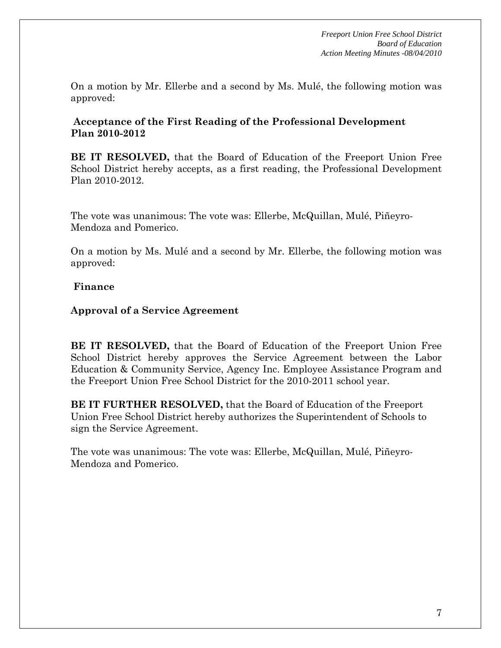On a motion by Mr. Ellerbe and a second by Ms. Mulé, the following motion was approved:

#### **Acceptance of the First Reading of the Professional Development Plan 2010-2012**

**BE IT RESOLVED,** that the Board of Education of the Freeport Union Free School District hereby accepts, as a first reading, the Professional Development Plan 2010-2012.

The vote was unanimous: The vote was: Ellerbe, McQuillan, Mulé, Piñeyro-Mendoza and Pomerico.

On a motion by Ms. Mulé and a second by Mr. Ellerbe, the following motion was approved:

#### **Finance**

#### **Approval of a Service Agreement**

**BE IT RESOLVED,** that the Board of Education of the Freeport Union Free School District hereby approves the Service Agreement between the Labor Education & Community Service, Agency Inc. Employee Assistance Program and the Freeport Union Free School District for the 2010-2011 school year.

**BE IT FURTHER RESOLVED,** that the Board of Education of the Freeport Union Free School District hereby authorizes the Superintendent of Schools to sign the Service Agreement.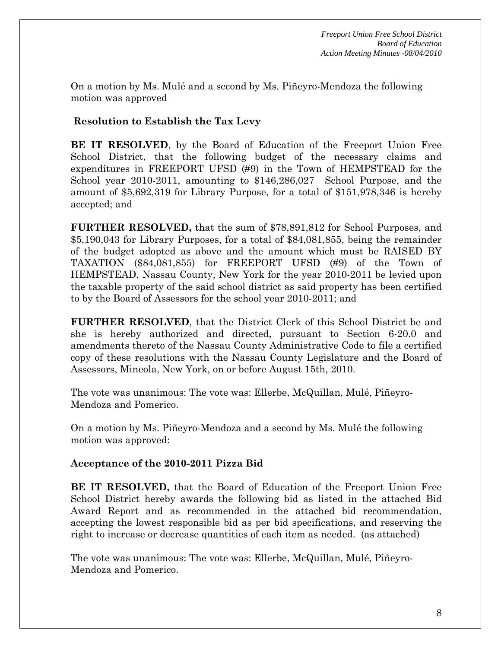On a motion by Ms. Mulé and a second by Ms. Piñeyro-Mendoza the following motion was approved

## **Resolution to Establish the Tax Levy**

**BE IT RESOLVED**, by the Board of Education of the Freeport Union Free School District, that the following budget of the necessary claims and expenditures in FREEPORT UFSD (#9) in the Town of HEMPSTEAD for the School year 2010-2011, amounting to \$146,286,027 School Purpose, and the amount of \$5,692,319 for Library Purpose, for a total of \$151,978,346 is hereby accepted; and

**FURTHER RESOLVED,** that the sum of \$78,891,812 for School Purposes, and \$5,190,043 for Library Purposes, for a total of \$84,081,855, being the remainder of the budget adopted as above and the amount which must be RAISED BY TAXATION (\$84,081,855) for FREEPORT UFSD (#9) of the Town of HEMPSTEAD, Nassau County, New York for the year 2010-2011 be levied upon the taxable property of the said school district as said property has been certified to by the Board of Assessors for the school year 2010-2011; and

**FURTHER RESOLVED**, that the District Clerk of this School District be and she is hereby authorized and directed, pursuant to Section 6-20.0 and amendments thereto of the Nassau County Administrative Code to file a certified copy of these resolutions with the Nassau County Legislature and the Board of Assessors, Mineola, New York, on or before August 15th, 2010.

The vote was unanimous: The vote was: Ellerbe, McQuillan, Mulé, Piñeyro-Mendoza and Pomerico.

On a motion by Ms. Piñeyro-Mendoza and a second by Ms. Mulé the following motion was approved:

#### **Acceptance of the 2010-2011 Pizza Bid**

**BE IT RESOLVED,** that the Board of Education of the Freeport Union Free School District hereby awards the following bid as listed in the attached Bid Award Report and as recommended in the attached bid recommendation, accepting the lowest responsible bid as per bid specifications, and reserving the right to increase or decrease quantities of each item as needed. (as attached)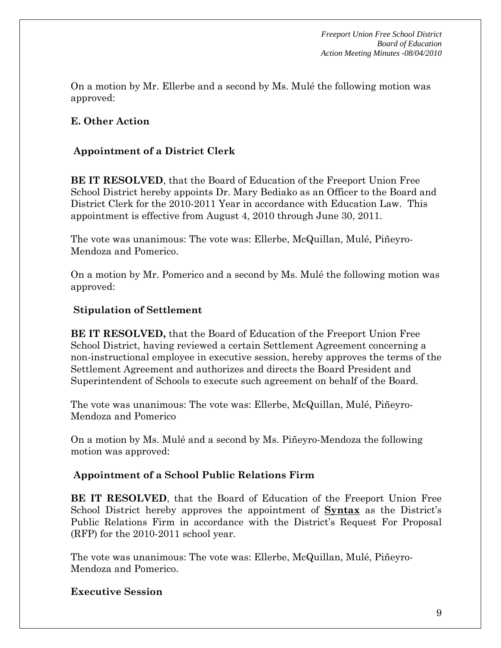On a motion by Mr. Ellerbe and a second by Ms. Mulé the following motion was approved:

## **E. Other Action**

### **Appointment of a District Clerk**

**BE IT RESOLVED**, that the Board of Education of the Freeport Union Free School District hereby appoints Dr. Mary Bediako as an Officer to the Board and District Clerk for the 2010-2011 Year in accordance with Education Law. This appointment is effective from August 4, 2010 through June 30, 2011.

The vote was unanimous: The vote was: Ellerbe, McQuillan, Mulé, Piñeyro-Mendoza and Pomerico.

On a motion by Mr. Pomerico and a second by Ms. Mulé the following motion was approved:

#### **Stipulation of Settlement**

**BE IT RESOLVED,** that the Board of Education of the Freeport Union Free School District, having reviewed a certain Settlement Agreement concerning a non-instructional employee in executive session, hereby approves the terms of the Settlement Agreement and authorizes and directs the Board President and Superintendent of Schools to execute such agreement on behalf of the Board.

The vote was unanimous: The vote was: Ellerbe, McQuillan, Mulé, Piñeyro-Mendoza and Pomerico

On a motion by Ms. Mulé and a second by Ms. Piñeyro-Mendoza the following motion was approved:

#### **Appointment of a School Public Relations Firm**

**BE IT RESOLVED**, that the Board of Education of the Freeport Union Free School District hereby approves the appointment of **Syntax** as the District's Public Relations Firm in accordance with the District's Request For Proposal (RFP) for the 2010-2011 school year.

The vote was unanimous: The vote was: Ellerbe, McQuillan, Mulé, Piñeyro-Mendoza and Pomerico.

## **Executive Session**